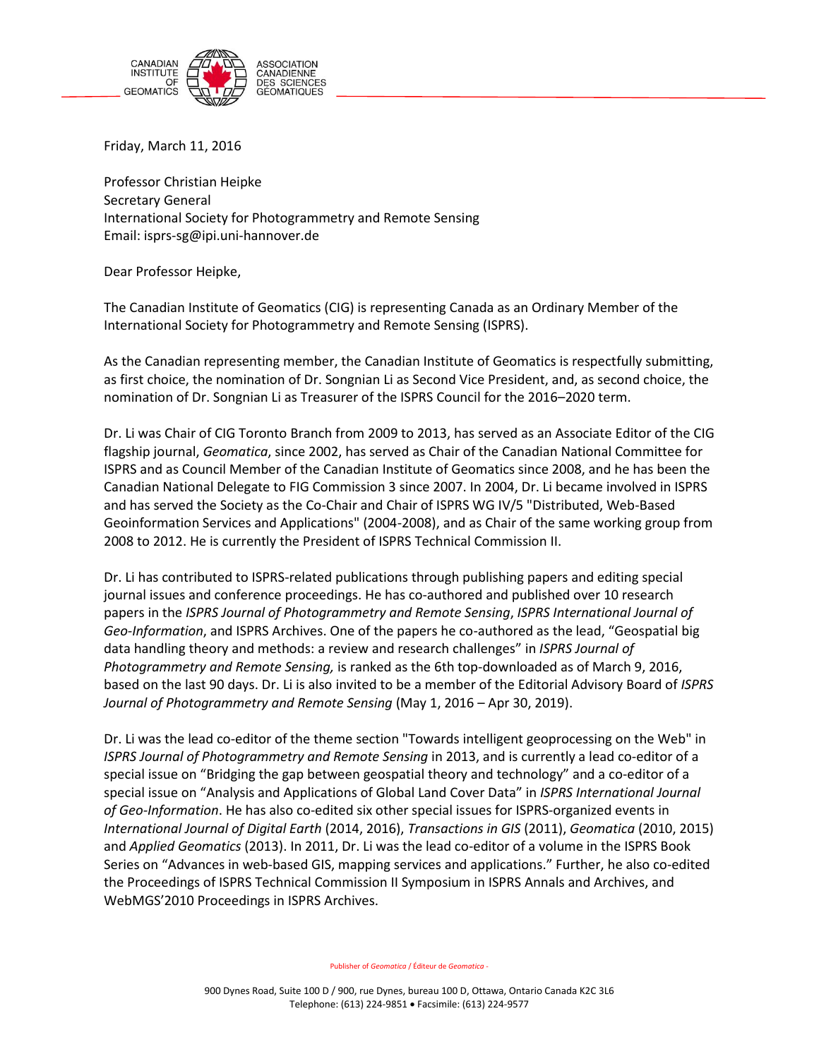

Friday, March 11, 2016

٦

Professor Christian Heipke Secretary General International Society for Photogrammetry and Remote Sensing Email: isprs-sg@ipi.uni-hannover.de

Dear Professor Heipke,

The Canadian Institute of Geomatics (CIG) is representing Canada as an Ordinary Member of the International Society for Photogrammetry and Remote Sensing (ISPRS).

As the Canadian representing member, the Canadian Institute of Geomatics is respectfully submitting, as first choice, the nomination of Dr. Songnian Li as Second Vice President, and, as second choice, the nomination of Dr. Songnian Li as Treasurer of the ISPRS Council for the 2016–2020 term.

Dr. Li was Chair of CIG Toronto Branch from 2009 to 2013, has served as an Associate Editor of the CIG flagship journal, *Geomatica*, since 2002, has served as Chair of the Canadian National Committee for ISPRS and as Council Member of the Canadian Institute of Geomatics since 2008, and he has been the Canadian National Delegate to FIG Commission 3 since 2007. In 2004, Dr. Li became involved in ISPRS and has served the Society as the Co-Chair and Chair of ISPRS WG IV/5 "Distributed, Web-Based Geoinformation Services and Applications" (2004-2008), and as Chair of the same working group from 2008 to 2012. He is currently the President of ISPRS Technical Commission II.

Dr. Li has contributed to ISPRS-related publications through publishing papers and editing special journal issues and conference proceedings. He has co-authored and published over 10 research papers in the *ISPRS Journal of Photogrammetry and Remote Sensing*, *ISPRS International Journal of Geo-Information*, and ISPRS Archives. One of the papers he co-authored as the lead, "Geospatial big data handling theory and methods: a review and research challenges" in *ISPRS Journal of Photogrammetry and Remote Sensing,* is ranked as the 6th top-downloaded as of March 9, 2016, based on the last 90 days. Dr. Li is also invited to be a member of the Editorial Advisory Board of *ISPRS Journal of Photogrammetry and Remote Sensing* (May 1, 2016 – Apr 30, 2019).

Dr. Li was the lead co-editor of the theme section "Towards intelligent geoprocessing on the Web" in *ISPRS Journal of Photogrammetry and Remote Sensing* in 2013, and is currently a lead co-editor of a special issue on "Bridging the gap between geospatial theory and technology" and a co-editor of a special issue on "Analysis and Applications of Global Land Cover Data" in *ISPRS International Journal of Geo-Information*. He has also co-edited six other special issues for ISPRS-organized events in *International Journal of Digital Earth* (2014, 2016), *Transactions in GIS* (2011), *Geomatica* (2010, 2015) and *Applied Geomatics* (2013). In 2011, Dr. Li was the lead co-editor of a volume in the ISPRS Book Series on "Advances in web-based GIS, mapping services and applications." Further, he also co-edited the Proceedings of ISPRS Technical Commission II Symposium in ISPRS Annals and Archives, and WebMGS'2010 Proceedings in ISPRS Archives.

Publisher of *Geomatica* / Éditeur de *Geomatica* -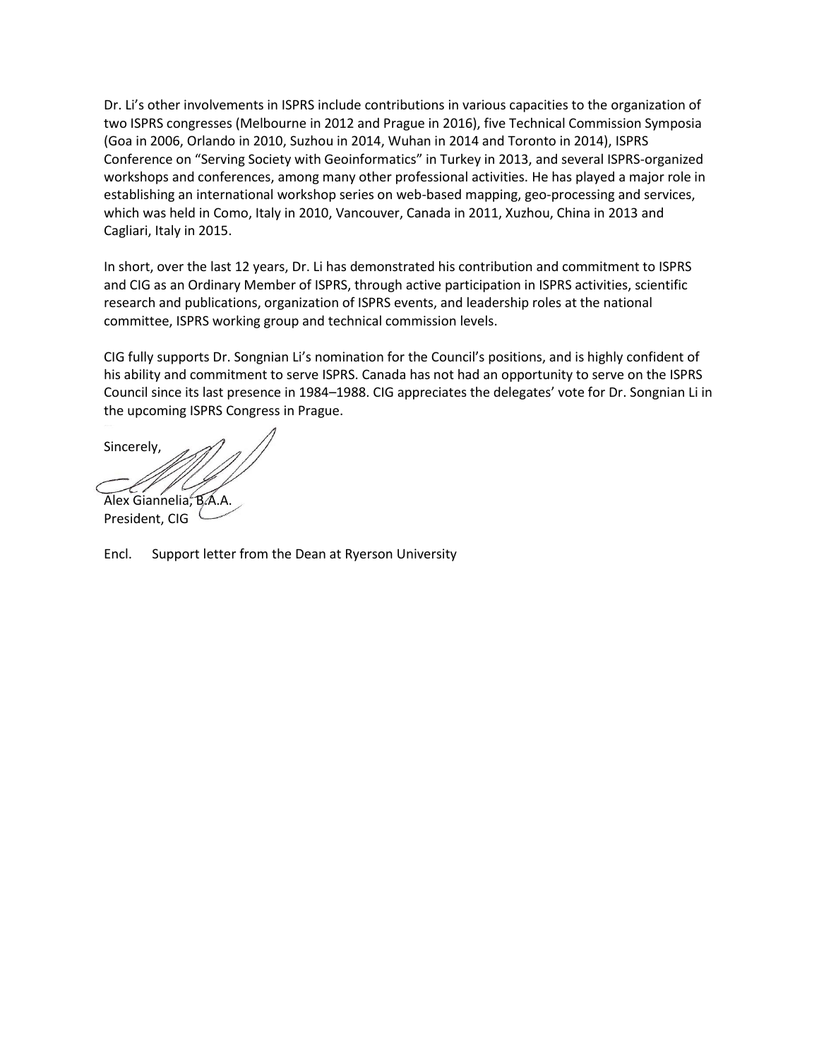Dr. Li's other involvements in ISPRS include contributions in various capacities to the organization of two ISPRS congresses (Melbourne in 2012 and Prague in 2016), five Technical Commission Symposia (Goa in 2006, Orlando in 2010, Suzhou in 2014, Wuhan in 2014 and Toronto in 2014), ISPRS Conference on "Serving Society with Geoinformatics" in Turkey in 2013, and several ISPRS-organized workshops and conferences, among many other professional activities. He has played a major role in establishing an international workshop series on web-based mapping, geo-processing and services, which was held in Como, Italy in 2010, Vancouver, Canada in 2011, Xuzhou, China in 2013 and Cagliari, Italy in 2015.

In short, over the last 12 years, Dr. Li has demonstrated his contribution and commitment to ISPRS and CIG as an Ordinary Member of ISPRS, through active participation in ISPRS activities, scientific research and publications, organization of ISPRS events, and leadership roles at the national committee, ISPRS working group and technical commission levels.

CIG fully supports Dr. Songnian Li's nomination for the Council's positions, and is highly confident of his ability and commitment to serve ISPRS. Canada has not had an opportunity to serve on the ISPRS Council since its last presence in 1984–1988. CIG appreciates the delegates' vote for Dr. Songnian Li in the upcoming ISPRS Congress in Prague.

Sincerely, Alex Giannelia, B.A.A.

President, CIG

Encl. Support letter from the Dean at Ryerson University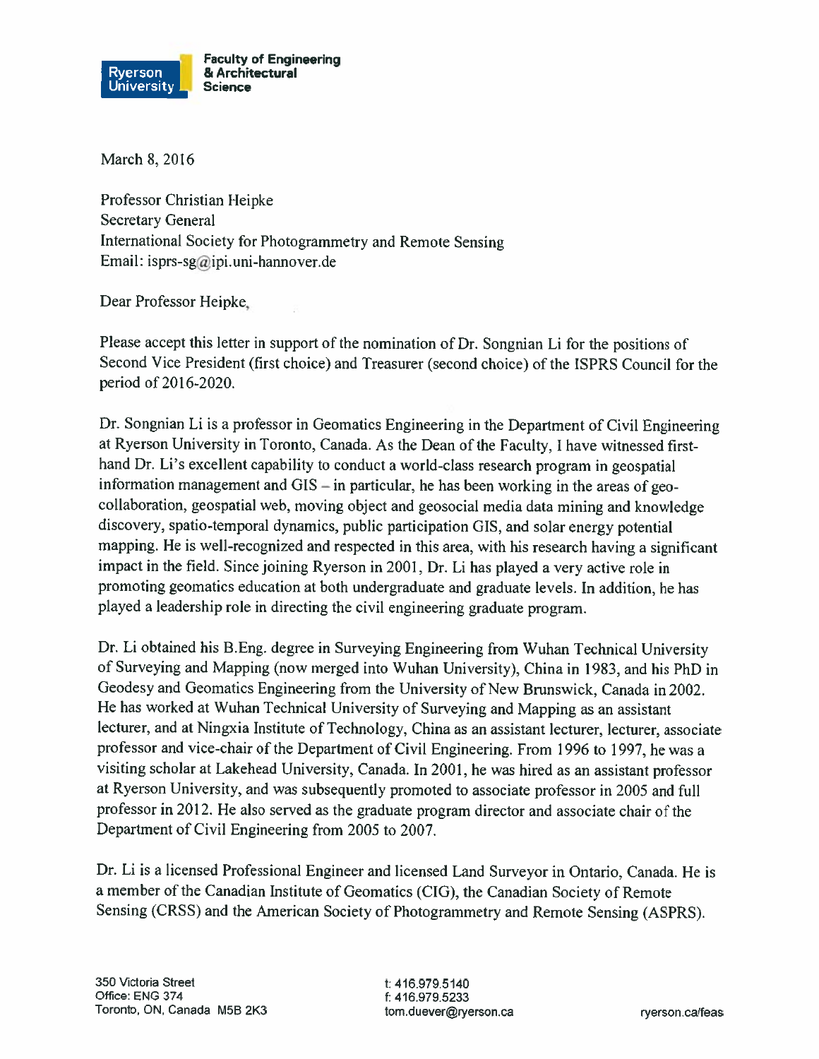

March 8, 2016

Professor Christian Heipke **Secretary General** International Society for Photogrammetry and Remote Sensing Email: isprs-sg@ipi.uni-hannover.de

Dear Professor Heipke,

Please accept this letter in support of the nomination of Dr. Songnian Li for the positions of Second Vice President (first choice) and Treasurer (second choice) of the ISPRS Council for the period of 2016-2020.

Dr. Songnian Li is a professor in Geomatics Engineering in the Department of Civil Engineering at Ryerson University in Toronto, Canada. As the Dean of the Faculty, I have witnessed firsthand Dr. Li's excellent capability to conduct a world-class research program in geospatial information management and  $\text{GIS}-\text{in particular}$ , he has been working in the areas of geocollaboration, geospatial web, moving object and geosocial media data mining and knowledge discovery, spatio-temporal dynamics, public participation GIS, and solar energy potential mapping. He is well-recognized and respected in this area, with his research having a significant impact in the field. Since joining Ryerson in 2001, Dr. Li has played a very active role in promoting geomatics education at both undergraduate and graduate levels. In addition, he has played a leadership role in directing the civil engineering graduate program.

Dr. Li obtained his B.Eng. degree in Surveying Engineering from Wuhan Technical University of Surveying and Mapping (now merged into Wuhan University), China in 1983, and his PhD in Geodesy and Geomatics Engineering from the University of New Brunswick, Canada in 2002. He has worked at Wuhan Technical University of Surveying and Mapping as an assistant lecturer, and at Ningxia Institute of Technology, China as an assistant lecturer, lecturer, associate professor and vice-chair of the Department of Civil Engineering. From 1996 to 1997, he was a visiting scholar at Lakehead University, Canada. In 2001, he was hired as an assistant professor at Ryerson University, and was subsequently promoted to associate professor in 2005 and full professor in 2012. He also served as the graduate program director and associate chair of the Department of Civil Engineering from 2005 to 2007.

Dr. Li is a licensed Professional Engineer and licensed Land Surveyor in Ontario, Canada. He is a member of the Canadian Institute of Geomatics (CIG), the Canadian Society of Remote Sensing (CRSS) and the American Society of Photogrammetry and Remote Sensing (ASPRS).

t: 416.979.5140 f: 416.979.5233 tom.duever@ryerson.ca